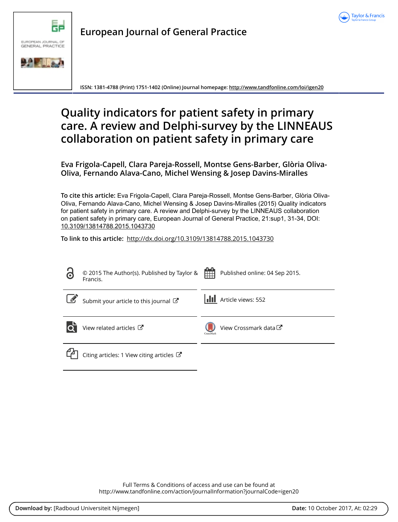



**European Journal of General Practice**

**ISSN: 1381-4788 (Print) 1751-1402 (Online) Journal homepage:<http://www.tandfonline.com/loi/igen20>**

# **Quality indicators for patient safety in primary care. A review and Delphi-survey by the LINNEAUS collaboration on patient safety in primary care**

**Eva Frigola-Capell, Clara Pareja-Rossell, Montse Gens-Barber, Glòria Oliva-Oliva, Fernando Alava-Cano, Michel Wensing & Josep Davins-Miralles**

**To cite this article:** Eva Frigola-Capell, Clara Pareja-Rossell, Montse Gens-Barber, Glòria Oliva-Oliva, Fernando Alava-Cano, Michel Wensing & Josep Davins-Miralles (2015) Quality indicators for patient safety in primary care. A review and Delphi-survey by the LINNEAUS collaboration on patient safety in primary care, European Journal of General Practice, 21:sup1, 31-34, DOI: [10.3109/13814788.2015.1043730](http://www.tandfonline.com/action/showCitFormats?doi=10.3109/13814788.2015.1043730)

**To link to this article:** <http://dx.doi.org/10.3109/13814788.2015.1043730>

| 6          | © 2015 The Author(s). Published by Taylor &<br>Francis. | 雦<br>Published online: 04 Sep 2015.           |
|------------|---------------------------------------------------------|-----------------------------------------------|
| $\sqrt{2}$ | Submit your article to this journal                     | Article views: 552                            |
|            | View related articles C                                 | View Crossmark data <sup>C</sup><br>CrossMark |
|            | Citing articles: 1 View citing articles $\mathbb{Z}$    |                                               |

Full Terms & Conditions of access and use can be found at <http://www.tandfonline.com/action/journalInformation?journalCode=igen20>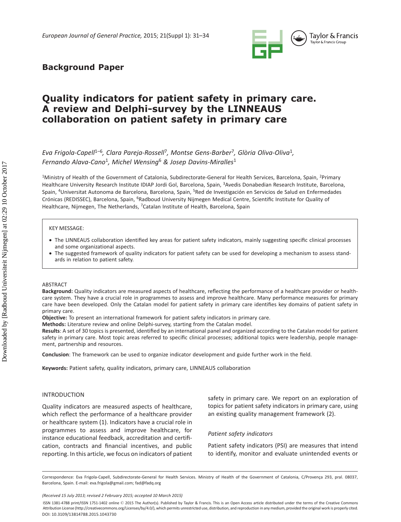

# **Background Paper**

# **Quality indicators for patient safety in primary care. A review and Delphi-survey by the LINNEAUS collaboration on patient safety in primary care**

*Eva Frigola-Capell<sup>1-6</sup>, Clara Pareja-Rossell<sup>7</sup>, Montse Gens-Barber<sup>7</sup>, Glòria Oliva-Oliva<sup>1</sup>, Fernando Alava-Cano* 1 *, Michel Wensing* 6 *& Josep Davins-Miralles* <sup>1</sup>

<sup>1</sup>Ministry of Health of the Government of Catalonia, Subdirectorate-General for Health Services, Barcelona, Spain, <sup>2</sup>Primary Healthcare University Research Institute IDIAP Jordi Gol, Barcelona, Spain, <sup>3</sup>Avedis Donabedian Research Institute, Barcelona, Spain, <sup>4</sup>Universitat Autonoma de Barcelona, Barcelona, Spain, <sup>5</sup>Red de Investigación en Servicios de Salud en Enfermedades Crónicas (REDISSEC), Barcelona, Spain, <sup>6</sup>Radboud University Nijmegen Medical Centre, Scientific Institute for Quality of Healthcare, Nijmegen, The Netherlands, <sup>7</sup> Catalan Institute of Health, Barcelona, Spain

#### KEY MESSAGE:

- The LINNEAUS collaboration identified key areas for patient safety indicators, mainly suggesting specific clinical processes and some organizational aspects.
- · The suggested framework of quality indicators for patient safety can be used for developing a mechanism to assess standards in relation to patient safety.

#### ABSTRACT

Background: Quality indicators are measured aspects of healthcare, reflecting the performance of a healthcare provider or healthcare system. They have a crucial role in programmes to assess and improve healthcare. Many performance measures for primary care have been developed. Only the Catalan model for patient safety in primary care identifies key domains of patient safety in primary care.

 **Objective:** To present an international framework for patient safety indicators in primary care.

 **Methods:** Literature review and online Delphi-survey, starting from the Catalan model.

Results: A set of 30 topics is presented, identified by an international panel and organized according to the Catalan model for patient safety in primary care. Most topic areas referred to specific clinical processes; additional topics were leadership, people management, partnership and resources.

**Conclusion**: The framework can be used to organize indicator development and guide further work in the field.

**Keywords: Patient safety, quality indicators, primary care, LINNEAUS collaboration** 

#### INTRODUCTION

 Quality indicators are measured aspects of healthcare, which reflect the performance of a healthcare provider or healthcare system (1). Indicators have a crucial role in programmes to assess and improve healthcare, for instance educational feedback, accreditation and certification, contracts and financial incentives, and public reporting. In this article, we focus on indicators of patient safety in primary care. We report on an exploration of topics for patient safety indicators in primary care, using an existing quality management framework (2).

#### *Patient safety indicators*

 Patient safety indicators (PSI) are measures that intend to identify, monitor and evaluate unintended events or

Correspondence: Eva Frigola-Capell, Subdirectorate-General for Health Services. Ministry of Health of the Government of Catalonia, C/Provenca 293, pral. 08037, Barcelona, Spain. E-mail: eva.frigola@gmail.com; fad@fadq.org

 *<sup>(</sup>Received 15 July 2013 ; revised 2 February 2015 ; accepted 10 March 2015 )* 

DOI: 10.3109/13814788.2015.1043730 ISSN 1381-4788 print/ISSN 1751-1402 online © 2015 The Author(s). Published by Taylor & Francis. This is an Open Access article distributed under the terms of the Creative Commons Attribution License (http://creativecommons.org/Licenses/by/4.0/), which permits unrestricted use, distribution, and reproduction in any medium, provided the original work is properly cited.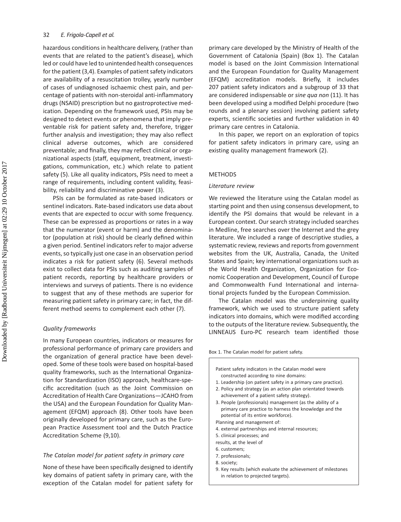hazardous conditions in healthcare delivery, (rather than events that are related to the patient's disease), which led or could have led to unintended health consequences for the patient (3,4). Examples of patient safety indicators are availability of a resuscitation trolley, yearly number of cases of undiagnosed ischaemic chest pain, and percentage of patients with non-steroidal anti-inflammatory drugs (NSAID) prescription but no gastroprotective medication. Depending on the framework used, PSIs may be designed to detect events or phenomena that imply preventable risk for patient safety and, therefore, trigger further analysis and investigation; they may also reflect clinical adverse outcomes, which are considered preventable; and finally, they may reflect clinical or organizational aspects (staff, equipment, treatment, investigations, communication, etc.) which relate to patient safety (5). Like all quality indicators, PSIs need to meet a range of requirements, including content validity, feasibility, reliability and discriminative power (3).

 PSIs can be formulated as rate-based indicators or sentinel indicators. Rate-based indicators use data about events that are expected to occur with some frequency. These can be expressed as proportions or rates in a way that the numerator (event or harm) and the denominator (population at risk) should be clearly defined within a given period. Sentinel indicators refer to major adverse events, so typically just one case in an observation period indicates a risk for patient safety (6). Several methods exist to collect data for PSIs such as auditing samples of patient records, reporting by healthcare providers or interviews and surveys of patients. There is no evidence to suggest that any of these methods are superior for measuring patient safety in primary care; in fact, the different method seems to complement each other (7).

#### *Quality frameworks*

 In many European countries, indicators or measures for professional performance of primary care providers and the organization of general practice have been developed. Some of these tools were based on hospital-based quality frameworks, such as the International Organization for Standardization (ISO) approach, healthcare-specific accreditation (such as the Joint Commission on Accreditation of Health Care Organizations — JCAHO from the USA) and the European Foundation for Quality Management (EFQM) approach (8). Other tools have been originally developed for primary care, such as the European Practice Assessment tool and the Dutch Practice Accreditation Scheme (9,10).

#### *The Catalan model for patient safety in primary care*

None of these have been specifically designed to identify key domains of patient safety in primary care, with the exception of the Catalan model for patient safety for

primary care developed by the Ministry of Health of the Government of Catalonia (Spain) (Box 1). The Catalan model is based on the Joint Commission International and the European Foundation for Quality Management (EFQM) accreditation models. Briefly, it includes 207 patient safety indicators and a subgroup of 33 that are considered indispensable or *sine qua non* (11). It has been developed using a modified Delphi procedure (two rounds and a plenary session) involving patient safety experts, scientific societies and further validation in 40 primary care centres in Catalonia.

 In this paper, we report on an exploration of topics for patient safety indicators in primary care, using an existing quality management framework (2).

#### METHODS

#### *Literature review*

 We reviewed the literature using the Catalan model as starting point and then using consensus development, to identify the PSI domains that would be relevant in a European context. Our search strategy included searches in Medline, free searches over the Internet and the grey literature. We included a range of descriptive studies, a systematic review, reviews and reports from government websites from the UK, Australia, Canada, the United States and Spain; key international organizations such as the World Health Organization, Organization for Economic Cooperation and Development, Council of Europe and Commonwealth Fund International and international projects funded by the European Commission.

 The Catalan model was the underpinning quality framework, which we used to structure patient safety indicators into domains, which were modified according to the outputs of the literature review. Subsequently, the LINNEAUS Euro-PC research team identified those

Box 1. The Catalan model for patient safety.

- Patient safety indicators in the Catalan model were constructed according to nine domains:
- 1. Leadership (on patient safety in a primary care practice).
- 2. Policy and strategy (as an action plan orientated towards achievement of a patient safety strategy).
- 3. People (professionals) management (as the ability of a primary care practice to harness the knowledge and the potential of its entire workforce).
- Planning and management of:
- 4. external partnerships and internal resources;
- 5. clinical processes; and
- results, at the level of
- 6. customers;
- 7. professionals; 8. society;
- 
- 9. Key results (which evaluate the achievement of milestones in relation to projected targets).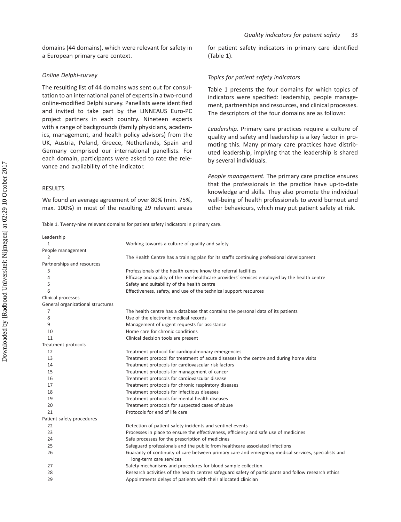### *Online Delphi-survey*

 The resulting list of 44 domains was sent out for consultation to an international panel of experts in a two-round online-modified Delphi survey. Panellists were identified and invited to take part by the LINNEAUS Euro-PC project partners in each country. Nineteen experts with a range of backgrounds (family physicians, academics, management, and health policy advisors) from the UK, Austria, Poland, Greece, Netherlands, Spain and Germany comprised our international panellists. For each domain, participants were asked to rate the relevance and availability of the indicator.

# RESULTS

 We found an average agreement of over 80% (min. 75%, max. 100%) in most of the resulting 29 relevant areas for patient safety indicators in primary care identified (Table 1).

## *Topics for patient safety indicators*

 Table 1 presents the four domains for which topics of indicators were specified: leadership, people management, partnerships and resources, and clinical processes. The descriptors of the four domains are as follows:

*Leadership.* Primary care practices require a culture of quality and safety and leadership is a key factor in promoting this. Many primary care practices have distributed leadership, implying that the leadership is shared by several individuals.

*People management.* The primary care practice ensures that the professionals in the practice have up-to-date knowledge and skills. They also promote the individual well-being of health professionals to avoid burnout and other behaviours, which may put patient safety at risk.

Table 1. Twenty-nine relevant domains for patient safety indicators in primary care.

| Leadership                        |                                                                                                                                |
|-----------------------------------|--------------------------------------------------------------------------------------------------------------------------------|
| 1                                 | Working towards a culture of quality and safety                                                                                |
| People management                 |                                                                                                                                |
| 2                                 | The Health Centre has a training plan for its staff's continuing professional development                                      |
| Partnerships and resources        |                                                                                                                                |
| 3                                 | Professionals of the health centre know the referral facilities                                                                |
| 4                                 | Efficacy and quality of the non-healthcare providers' services employed by the health centre                                   |
| 5                                 | Safety and suitability of the health centre                                                                                    |
| 6                                 | Effectiveness, safety, and use of the technical support resources                                                              |
| Clinical processes                |                                                                                                                                |
| General organizational structures |                                                                                                                                |
| 7                                 | The health centre has a database that contains the personal data of its patients                                               |
| 8                                 | Use of the electronic medical records                                                                                          |
| 9                                 | Management of urgent requests for assistance                                                                                   |
| 10                                | Home care for chronic conditions                                                                                               |
| 11                                | Clinical decision tools are present                                                                                            |
| Treatment protocols               |                                                                                                                                |
| 12                                | Treatment protocol for cardiopulmonary emergencies                                                                             |
| 13                                | Treatment protocol for treatment of acute diseases in the centre and during home visits                                        |
| 14                                | Treatment protocols for cardiovascular risk factors                                                                            |
| 15                                | Treatment protocols for management of cancer                                                                                   |
| 16                                | Treatment protocols for cardiovascular disease                                                                                 |
| 17                                | Treatment protocols for chronic respiratory diseases                                                                           |
| 18                                | Treatment protocols for infectious diseases                                                                                    |
| 19                                | Treatment protocols for mental health diseases                                                                                 |
| 20                                | Treatment protocols for suspected cases of abuse                                                                               |
| 21                                | Protocols for end of life care                                                                                                 |
| Patient safety procedures         |                                                                                                                                |
| 22                                | Detection of patient safety incidents and sentinel events                                                                      |
| 23                                | Processes in place to ensure the effectiveness, efficiency and safe use of medicines                                           |
| 24                                | Safe processes for the prescription of medicines                                                                               |
| 25                                | Safeguard professionals and the public from healthcare associated infections                                                   |
| 26                                | Guaranty of continuity of care between primary care and emergency medical services, specialists and<br>long-term care services |
| 27                                | Safety mechanisms and procedures for blood sample collection.                                                                  |
| 28                                | Research activities of the health centres safeguard safety of participants and follow research ethics                          |
| 29                                | Appointments delays of patients with their allocated clinician                                                                 |